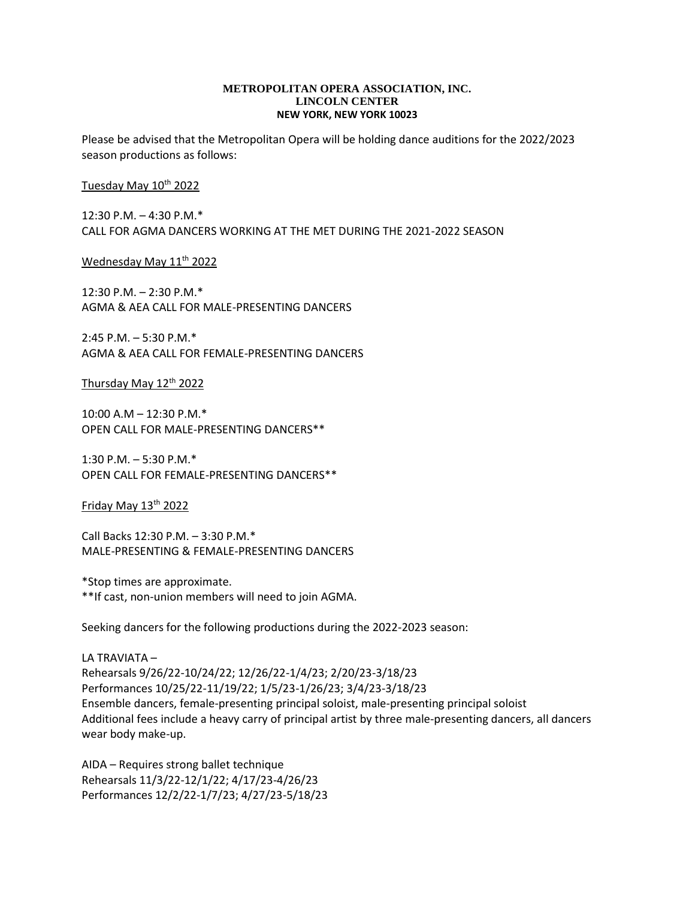## **METROPOLITAN OPERA ASSOCIATION, INC. LINCOLN CENTER NEW YORK, NEW YORK 10023**

Please be advised that the Metropolitan Opera will be holding dance auditions for the 2022/2023 season productions as follows:

Tuesday May 10<sup>th</sup> 2022

12:30 P.M. – 4:30 P.M.\* CALL FOR AGMA DANCERS WORKING AT THE MET DURING THE 2021-2022 SEASON

<u>Wednesday May 11th 2022</u>

12:30 P.M. – 2:30 P.M.\* AGMA & AEA CALL FOR MALE-PRESENTING DANCERS

2:45 P.M. – 5:30 P.M.\* AGMA & AEA CALL FOR FEMALE-PRESENTING DANCERS

Thursday May 12 th 2022

10:00 A.M – 12:30 P.M.\* OPEN CALL FOR MALE-PRESENTING DANCERS\*\*

1:30 P.M. – 5:30 P.M.\* OPEN CALL FOR FEMALE-PRESENTING DANCERS\*\*

Friday May 13 th 2022

Call Backs 12:30 P.M. – 3:30 P.M.\* MALE-PRESENTING & FEMALE-PRESENTING DANCERS

\*Stop times are approximate. \*\*If cast, non-union members will need to join AGMA.

Seeking dancers for the following productions during the 2022-2023 season:

LA TRAVIATA – Rehearsals 9/26/22-10/24/22; 12/26/22-1/4/23; 2/20/23-3/18/23 Performances 10/25/22-11/19/22; 1/5/23-1/26/23; 3/4/23-3/18/23 Ensemble dancers, female-presenting principal soloist, male-presenting principal soloist Additional fees include a heavy carry of principal artist by three male-presenting dancers, all dancers wear body make-up.

AIDA – Requires strong ballet technique Rehearsals 11/3/22-12/1/22; 4/17/23-4/26/23 Performances 12/2/22-1/7/23; 4/27/23-5/18/23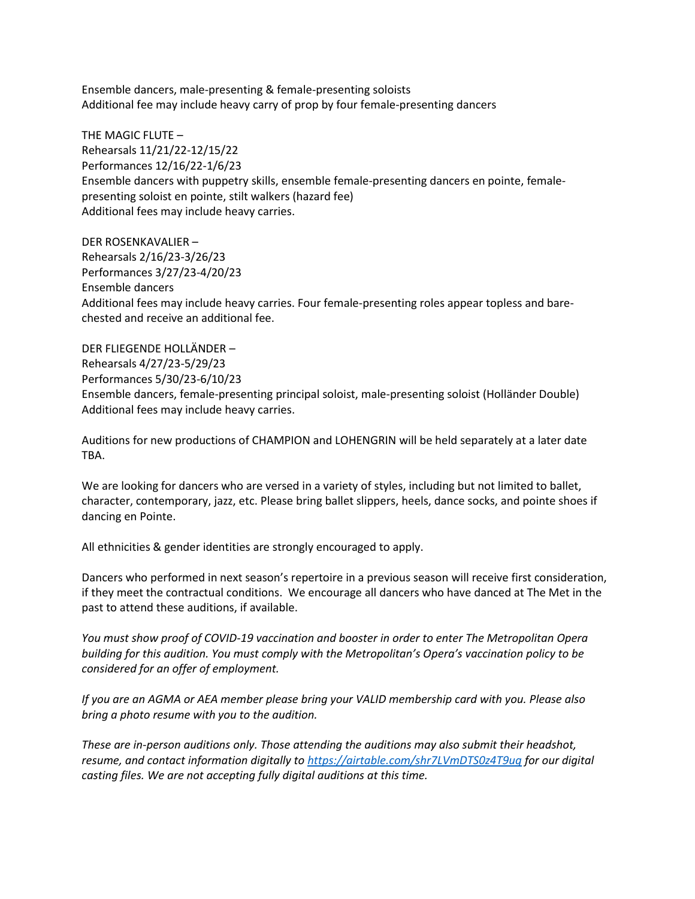Ensemble dancers, male-presenting & female-presenting soloists Additional fee may include heavy carry of prop by four female-presenting dancers

THE MAGIC FLUTE – Rehearsals 11/21/22-12/15/22 Performances 12/16/22-1/6/23 Ensemble dancers with puppetry skills, ensemble female-presenting dancers en pointe, femalepresenting soloist en pointe, stilt walkers (hazard fee) Additional fees may include heavy carries.

DER ROSENKAVALIER – Rehearsals 2/16/23-3/26/23 Performances 3/27/23-4/20/23 Ensemble dancers Additional fees may include heavy carries. Four female-presenting roles appear topless and barechested and receive an additional fee.

DER FLIEGENDE HOLLÄNDER – Rehearsals 4/27/23-5/29/23 Performances 5/30/23-6/10/23 Ensemble dancers, female-presenting principal soloist, male-presenting soloist (Holländer Double) Additional fees may include heavy carries.

Auditions for new productions of CHAMPION and LOHENGRIN will be held separately at a later date TBA.

We are looking for dancers who are versed in a variety of styles, including but not limited to ballet, character, contemporary, jazz, etc. Please bring ballet slippers, heels, dance socks, and pointe shoes if dancing en Pointe.

All ethnicities & gender identities are strongly encouraged to apply.

Dancers who performed in next season's repertoire in a previous season will receive first consideration, if they meet the contractual conditions. We encourage all dancers who have danced at The Met in the past to attend these auditions, if available.

*You must show proof of COVID-19 vaccination and booster in order to enter The Metropolitan Opera building for this audition. You must comply with the Metropolitan's Opera's vaccination policy to be considered for an offer of employment.* 

*If you are an AGMA or AEA member please bring your VALID membership card with you. Please also bring a photo resume with you to the audition.*

*These are in-person auditions only. Those attending the auditions may also submit their headshot, resume, and contact information digitally to<https://airtable.com/shr7LVmDTS0z4T9ug> for our digital casting files. We are not accepting fully digital auditions at this time.*